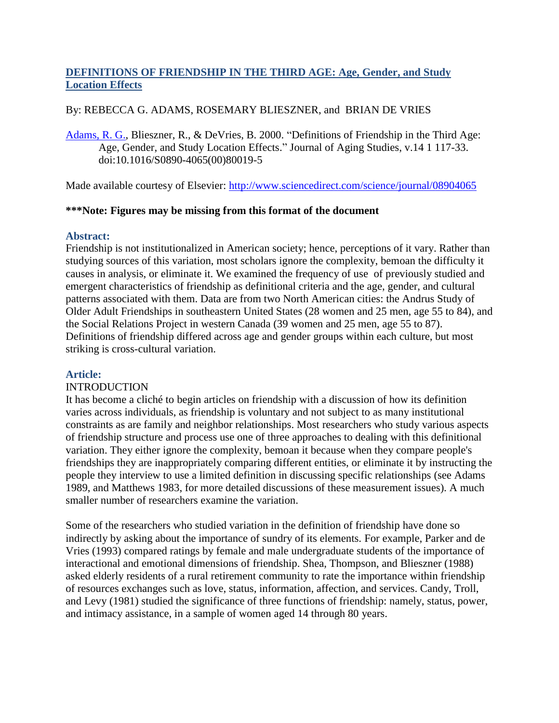# **DEFINITIONS OF FRIENDSHIP IN THE THIRD AGE: Age, Gender, and Study Location Effects**

# By: REBECCA G. ADAMS, ROSEMARY BLIESZNER, and BRIAN DE VRIES

[Adams, R. G.,](http://libres.uncg.edu/ir/uncg/clist.aspx?id=497) Blieszner, R., & DeVries, B. 2000. "Definitions of Friendship in the Third Age: Age, Gender, and Study Location Effects." Journal of Aging Studies, v.14 1 117-33. doi:10.1016/S0890-4065(00)80019-5

Made available courtesy of Elsevier:<http://www.sciencedirect.com/science/journal/08904065>

# **\*\*\*Note: Figures may be missing from this format of the document**

## **Abstract:**

Friendship is not institutionalized in American society; hence, perceptions of it vary. Rather than studying sources of this variation, most scholars ignore the complexity, bemoan the difficulty it causes in analysis, or eliminate it. We examined the frequency of use of previously studied and emergent characteristics of friendship as definitional criteria and the age, gender, and cultural patterns associated with them. Data are from two North American cities: the Andrus Study of Older Adult Friendships in southeastern United States (28 women and 25 men, age 55 to 84), and the Social Relations Project in western Canada (39 women and 25 men, age 55 to 87). Definitions of friendship differed across age and gender groups within each culture, but most striking is cross-cultural variation.

# **Article:**

## **INTRODUCTION**

It has become a cliché to begin articles on friendship with a discussion of how its definition varies across individuals, as friendship is voluntary and not subject to as many institutional constraints as are family and neighbor relationships. Most researchers who study various aspects of friendship structure and process use one of three approaches to dealing with this definitional variation. They either ignore the complexity, bemoan it because when they compare people's friendships they are inappropriately comparing different entities, or eliminate it by instructing the people they interview to use a limited definition in discussing specific relationships (see Adams 1989, and Matthews 1983, for more detailed discussions of these measurement issues). A much smaller number of researchers examine the variation.

Some of the researchers who studied variation in the definition of friendship have done so indirectly by asking about the importance of sundry of its elements. For example, Parker and de Vries (1993) compared ratings by female and male undergraduate students of the importance of interactional and emotional dimensions of friendship. Shea, Thompson, and Blieszner (1988) asked elderly residents of a rural retirement community to rate the importance within friendship of resources exchanges such as love, status, information, affection, and services. Candy, Troll, and Levy (1981) studied the significance of three functions of friendship: namely, status, power, and intimacy assistance, in a sample of women aged 14 through 80 years.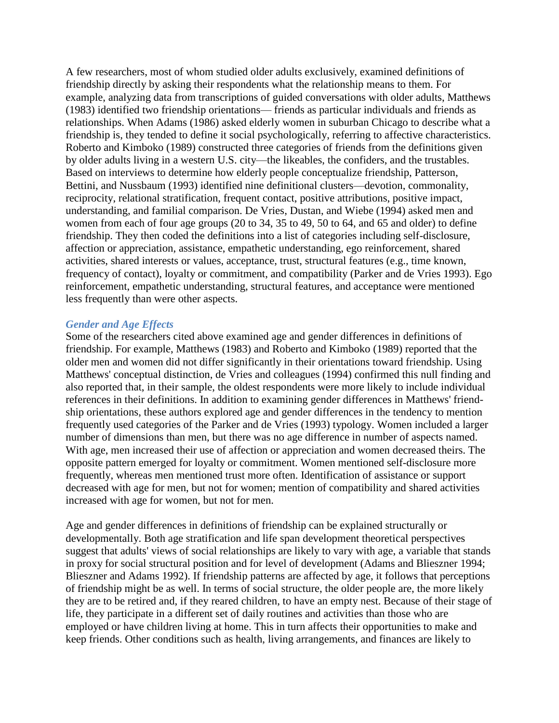A few researchers, most of whom studied older adults exclusively, examined definitions of friendship directly by asking their respondents what the relationship means to them. For example, analyzing data from transcriptions of guided conversations with older adults, Matthews (1983) identified two friendship orientations— friends as particular individuals and friends as relationships. When Adams (1986) asked elderly women in suburban Chicago to describe what a friendship is, they tended to define it social psychologically, referring to affective characteristics. Roberto and Kimboko (1989) constructed three categories of friends from the definitions given by older adults living in a western U.S. city—the likeables, the confiders, and the trustables. Based on interviews to determine how elderly people conceptualize friendship, Patterson, Bettini, and Nussbaum (1993) identified nine definitional clusters—devotion, commonality, reciprocity, relational stratification, frequent contact, positive attributions, positive impact, understanding, and familial comparison. De Vries, Dustan, and Wiebe (1994) asked men and women from each of four age groups (20 to 34, 35 to 49, 50 to 64, and 65 and older) to define friendship. They then coded the definitions into a list of categories including self-disclosure, affection or appreciation, assistance, empathetic understanding, ego reinforcement, shared activities, shared interests or values, acceptance, trust, structural features (e.g., time known, frequency of contact), loyalty or commitment, and compatibility (Parker and de Vries 1993). Ego reinforcement, empathetic understanding, structural features, and acceptance were mentioned less frequently than were other aspects.

### *Gender and Age Effects*

Some of the researchers cited above examined age and gender differences in definitions of friendship. For example, Matthews (1983) and Roberto and Kimboko (1989) reported that the older men and women did not differ significantly in their orientations toward friendship. Using Matthews' conceptual distinction, de Vries and colleagues (1994) confirmed this null finding and also reported that, in their sample, the oldest respondents were more likely to include individual references in their definitions. In addition to examining gender differences in Matthews' friendship orientations, these authors explored age and gender differences in the tendency to mention frequently used categories of the Parker and de Vries (1993) typology. Women included a larger number of dimensions than men, but there was no age difference in number of aspects named. With age, men increased their use of affection or appreciation and women decreased theirs. The opposite pattern emerged for loyalty or commitment. Women mentioned self-disclosure more frequently, whereas men mentioned trust more often. Identification of assistance or support decreased with age for men, but not for women; mention of compatibility and shared activities increased with age for women, but not for men.

Age and gender differences in definitions of friendship can be explained structurally or developmentally. Both age stratification and life span development theoretical perspectives suggest that adults' views of social relationships are likely to vary with age, a variable that stands in proxy for social structural position and for level of development (Adams and Blieszner 1994; Blieszner and Adams 1992). If friendship patterns are affected by age, it follows that perceptions of friendship might be as well. In terms of social structure, the older people are, the more likely they are to be retired and, if they reared children, to have an empty nest. Because of their stage of life, they participate in a different set of daily routines and activities than those who are employed or have children living at home. This in turn affects their opportunities to make and keep friends. Other conditions such as health, living arrangements, and finances are likely to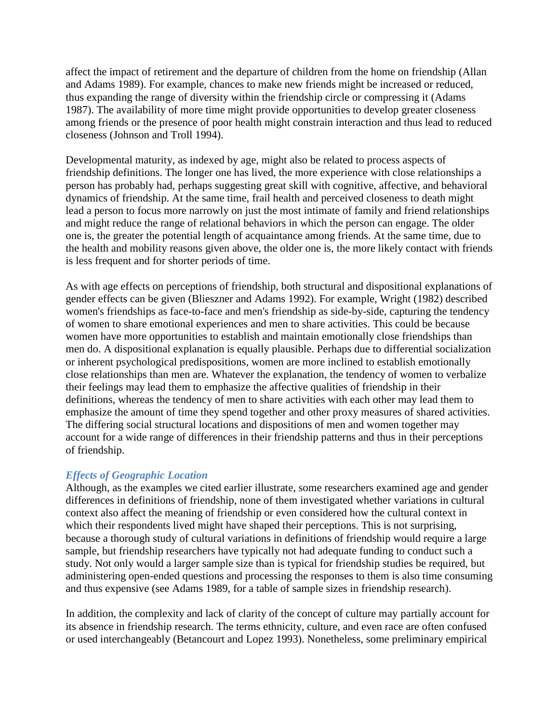affect the impact of retirement and the departure of children from the home on friendship (Allan and Adams 1989). For example, chances to make new friends might be increased or reduced, thus expanding the range of diversity within the friendship circle or compressing it (Adams 1987). The availability of more time might provide opportunities to develop greater closeness among friends or the presence of poor health might constrain interaction and thus lead to reduced closeness (Johnson and Troll 1994).

Developmental maturity, as indexed by age, might also be related to process aspects of friendship definitions. The longer one has lived, the more experience with close relationships a person has probably had, perhaps suggesting great skill with cognitive, affective, and behavioral dynamics of friendship. At the same time, frail health and perceived closeness to death might lead a person to focus more narrowly on just the most intimate of family and friend relationships and might reduce the range of relational behaviors in which the person can engage. The older one is, the greater the potential length of acquaintance among friends. At the same time, due to the health and mobility reasons given above, the older one is, the more likely contact with friends is less frequent and for shorter periods of time.

As with age effects on perceptions of friendship, both structural and dispositional explanations of gender effects can be given (Blieszner and Adams 1992). For example, Wright (1982) described women's friendships as face-to-face and men's friendship as side-by-side, capturing the tendency of women to share emotional experiences and men to share activities. This could be because women have more opportunities to establish and maintain emotionally close friendships than men do. A dispositional explanation is equally plausible. Perhaps due to differential socialization or inherent psychological predispositions, women are more inclined to establish emotionally close relationships than men are. Whatever the explanation, the tendency of women to verbalize their feelings may lead them to emphasize the affective qualities of friendship in their definitions, whereas the tendency of men to share activities with each other may lead them to emphasize the amount of time they spend together and other proxy measures of shared activities. The differing social structural locations and dispositions of men and women together may account for a wide range of differences in their friendship patterns and thus in their perceptions of friendship.

# *Effects of Geographic Location*

Although, as the examples we cited earlier illustrate, some researchers examined age and gender differences in definitions of friendship, none of them investigated whether variations in cultural context also affect the meaning of friendship or even considered how the cultural context in which their respondents lived might have shaped their perceptions. This is not surprising, because a thorough study of cultural variations in definitions of friendship would require a large sample, but friendship researchers have typically not had adequate funding to conduct such a study. Not only would a larger sample size than is typical for friendship studies be required, but administering open-ended questions and processing the responses to them is also time consuming and thus expensive (see Adams 1989, for a table of sample sizes in friendship research).

In addition, the complexity and lack of clarity of the concept of culture may partially account for its absence in friendship research. The terms ethnicity, culture, and even race are often confused or used interchangeably (Betancourt and Lopez 1993). Nonetheless, some preliminary empirical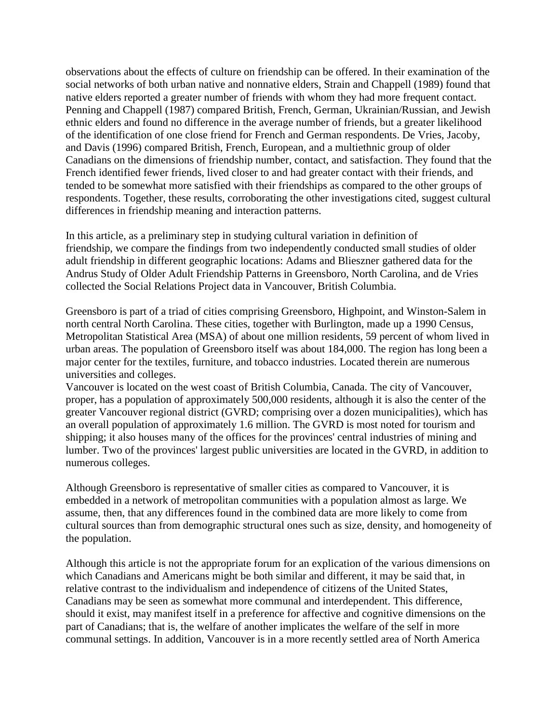observations about the effects of culture on friendship can be offered. In their examination of the social networks of both urban native and nonnative elders, Strain and Chappell (1989) found that native elders reported a greater number of friends with whom they had more frequent contact. Penning and Chappell (1987) compared British, French, German, Ukrainian/Russian, and Jewish ethnic elders and found no difference in the average number of friends, but a greater likelihood of the identification of one close friend for French and German respondents. De Vries, Jacoby, and Davis (1996) compared British, French, European, and a multiethnic group of older Canadians on the dimensions of friendship number, contact, and satisfaction. They found that the French identified fewer friends, lived closer to and had greater contact with their friends, and tended to be somewhat more satisfied with their friendships as compared to the other groups of respondents. Together, these results, corroborating the other investigations cited, suggest cultural differences in friendship meaning and interaction patterns.

In this article, as a preliminary step in studying cultural variation in definition of friendship, we compare the findings from two independently conducted small studies of older adult friendship in different geographic locations: Adams and Blieszner gathered data for the Andrus Study of Older Adult Friendship Patterns in Greensboro, North Carolina, and de Vries collected the Social Relations Project data in Vancouver, British Columbia.

Greensboro is part of a triad of cities comprising Greensboro, Highpoint, and Winston-Salem in north central North Carolina. These cities, together with Burlington, made up a 1990 Census, Metropolitan Statistical Area (MSA) of about one million residents, 59 percent of whom lived in urban areas. The population of Greensboro itself was about 184,000. The region has long been a major center for the textiles, furniture, and tobacco industries. Located therein are numerous universities and colleges.

Vancouver is located on the west coast of British Columbia, Canada. The city of Vancouver, proper, has a population of approximately 500,000 residents, although it is also the center of the greater Vancouver regional district (GVRD; comprising over a dozen municipalities), which has an overall population of approximately 1.6 million. The GVRD is most noted for tourism and shipping; it also houses many of the offices for the provinces' central industries of mining and lumber. Two of the provinces' largest public universities are located in the GVRD, in addition to numerous colleges.

Although Greensboro is representative of smaller cities as compared to Vancouver, it is embedded in a network of metropolitan communities with a population almost as large. We assume, then, that any differences found in the combined data are more likely to come from cultural sources than from demographic structural ones such as size, density, and homogeneity of the population.

Although this article is not the appropriate forum for an explication of the various dimensions on which Canadians and Americans might be both similar and different, it may be said that, in relative contrast to the individualism and independence of citizens of the United States, Canadians may be seen as somewhat more communal and interdependent. This difference, should it exist, may manifest itself in a preference for affective and cognitive dimensions on the part of Canadians; that is, the welfare of another implicates the welfare of the self in more communal settings. In addition, Vancouver is in a more recently settled area of North America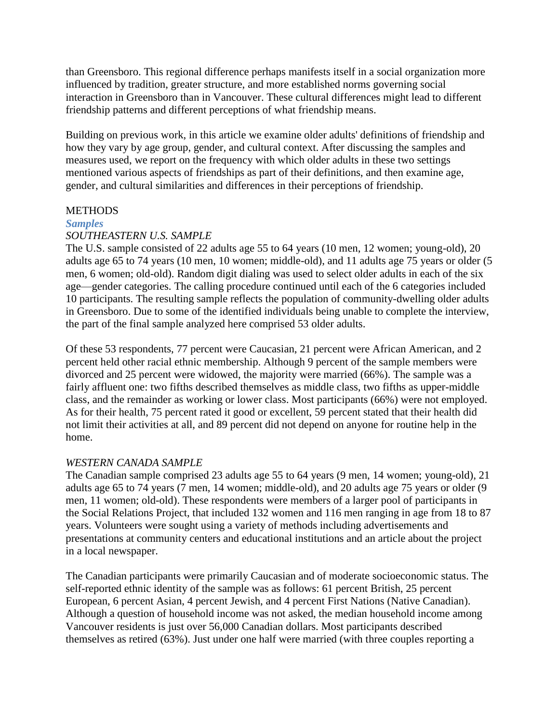than Greensboro. This regional difference perhaps manifests itself in a social organization more influenced by tradition, greater structure, and more established norms governing social interaction in Greensboro than in Vancouver. These cultural differences might lead to different friendship patterns and different perceptions of what friendship means.

Building on previous work, in this article we examine older adults' definitions of friendship and how they vary by age group, gender, and cultural context. After discussing the samples and measures used, we report on the frequency with which older adults in these two settings mentioned various aspects of friendships as part of their definitions, and then examine age, gender, and cultural similarities and differences in their perceptions of friendship.

### **METHODS**

## *Samples*

# *SOUTHEASTERN U.S. SAMPLE*

The U.S. sample consisted of 22 adults age 55 to 64 years (10 men, 12 women; young-old), 20 adults age 65 to 74 years (10 men, 10 women; middle-old), and 11 adults age 75 years or older (5 men, 6 women; old-old). Random digit dialing was used to select older adults in each of the six age—gender categories. The calling procedure continued until each of the 6 categories included 10 participants. The resulting sample reflects the population of community-dwelling older adults in Greensboro. Due to some of the identified individuals being unable to complete the interview, the part of the final sample analyzed here comprised 53 older adults.

Of these 53 respondents, 77 percent were Caucasian, 21 percent were African American, and 2 percent held other racial ethnic membership. Although 9 percent of the sample members were divorced and 25 percent were widowed, the majority were married (66%). The sample was a fairly affluent one: two fifths described themselves as middle class, two fifths as upper-middle class, and the remainder as working or lower class. Most participants (66%) were not employed. As for their health, 75 percent rated it good or excellent, 59 percent stated that their health did not limit their activities at all, and 89 percent did not depend on anyone for routine help in the home.

## *WESTERN CANADA SAMPLE*

The Canadian sample comprised 23 adults age 55 to 64 years (9 men, 14 women; young-old), 21 adults age 65 to 74 years (7 men, 14 women; middle-old), and 20 adults age 75 years or older (9 men, 11 women; old-old). These respondents were members of a larger pool of participants in the Social Relations Project, that included 132 women and 116 men ranging in age from 18 to 87 years. Volunteers were sought using a variety of methods including advertisements and presentations at community centers and educational institutions and an article about the project in a local newspaper.

The Canadian participants were primarily Caucasian and of moderate socioeconomic status. The self-reported ethnic identity of the sample was as follows: 61 percent British, 25 percent European, 6 percent Asian, 4 percent Jewish, and 4 percent First Nations (Native Canadian). Although a question of household income was not asked, the median household income among Vancouver residents is just over 56,000 Canadian dollars. Most participants described themselves as retired (63%). Just under one half were married (with three couples reporting a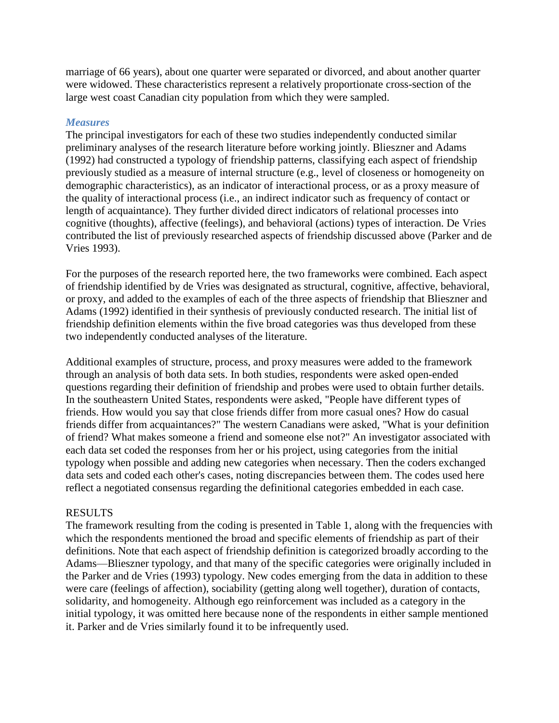marriage of 66 years), about one quarter were separated or divorced, and about another quarter were widowed. These characteristics represent a relatively proportionate cross-section of the large west coast Canadian city population from which they were sampled.

## *Measures*

The principal investigators for each of these two studies independently conducted similar preliminary analyses of the research literature before working jointly. Blieszner and Adams (1992) had constructed a typology of friendship patterns, classifying each aspect of friendship previously studied as a measure of internal structure (e.g., level of closeness or homogeneity on demographic characteristics), as an indicator of interactional process, or as a proxy measure of the quality of interactional process (i.e., an indirect indicator such as frequency of contact or length of acquaintance). They further divided direct indicators of relational processes into cognitive (thoughts), affective (feelings), and behavioral (actions) types of interaction. De Vries contributed the list of previously researched aspects of friendship discussed above (Parker and de Vries 1993).

For the purposes of the research reported here, the two frameworks were combined. Each aspect of friendship identified by de Vries was designated as structural, cognitive, affective, behavioral, or proxy, and added to the examples of each of the three aspects of friendship that Blieszner and Adams (1992) identified in their synthesis of previously conducted research. The initial list of friendship definition elements within the five broad categories was thus developed from these two independently conducted analyses of the literature.

Additional examples of structure, process, and proxy measures were added to the framework through an analysis of both data sets. In both studies, respondents were asked open-ended questions regarding their definition of friendship and probes were used to obtain further details. In the southeastern United States, respondents were asked, "People have different types of friends. How would you say that close friends differ from more casual ones? How do casual friends differ from acquaintances?" The western Canadians were asked, "What is your definition of friend? What makes someone a friend and someone else not?" An investigator associated with each data set coded the responses from her or his project, using categories from the initial typology when possible and adding new categories when necessary. Then the coders exchanged data sets and coded each other's cases, noting discrepancies between them. The codes used here reflect a negotiated consensus regarding the definitional categories embedded in each case.

### RESULTS

The framework resulting from the coding is presented in Table 1, along with the frequencies with which the respondents mentioned the broad and specific elements of friendship as part of their definitions. Note that each aspect of friendship definition is categorized broadly according to the Adams—Blieszner typology, and that many of the specific categories were originally included in the Parker and de Vries (1993) typology. New codes emerging from the data in addition to these were care (feelings of affection), sociability (getting along well together), duration of contacts, solidarity, and homogeneity. Although ego reinforcement was included as a category in the initial typology, it was omitted here because none of the respondents in either sample mentioned it. Parker and de Vries similarly found it to be infrequently used.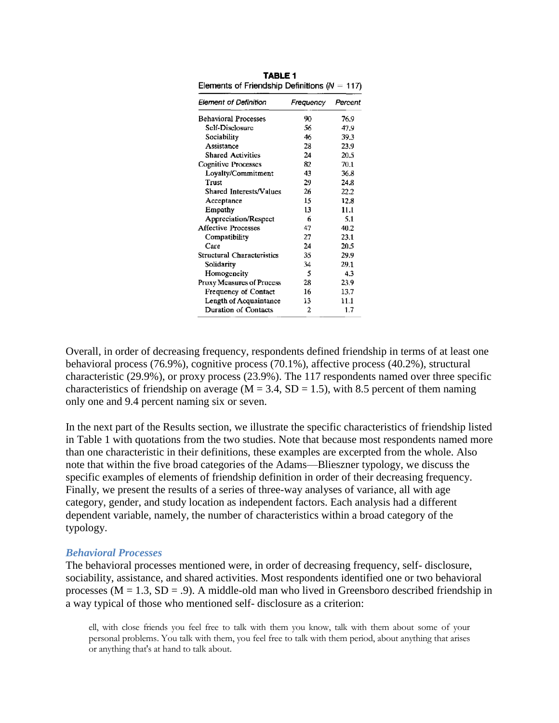| Element of Definition       | Frequency | Percent |
|-----------------------------|-----------|---------|
| <b>Behavioral Processes</b> | 90        | 76.9    |
| Self-Disclosure             | 56        | 47.9    |
| Sociability                 | 46        | 39.3    |
| Assistance                  | 28        | 23.9    |
| <b>Shared Activities</b>    | 24        | 20.5    |
| Cognitive Processes         | 82        | 70.1    |
| Loyalty/Commitment          | 43        | 36.8    |
| <b>Trust</b>                | 29        | 24.8    |
| Shared Interests/Values     | 26        | 22.2    |
| Acceptance                  | 15        | 12.8    |
| Empathy                     | 13        | 11.1    |
| Appreciation/Respect        | 6         | 5.1     |
| <b>Affective Processes</b>  | 47        | 40.2    |
| Compatibility               | 27        | 23.1    |
| Care                        | 24        | 20.5    |
| Structural Characteristics  | 35        | 29.9    |
| Solidarity                  | 34        | 29.1    |
| Homogeneity                 | 5         | 4.3     |
| Proxy Measures of Process   | 28        | 23.9    |
| Frequency of Contact        | 16        | 13.7    |
| Length of Acquaintance      | 13        | 11.1    |
| Duration of Contacts        | 2         | 1.7     |

| <b>TABLE 1</b>                                   |  |  |
|--------------------------------------------------|--|--|
| Elements of Friendship Definitions ( $N = 117$ ) |  |  |

Overall, in order of decreasing frequency, respondents defined friendship in terms of at least one behavioral process (76.9%), cognitive process (70.1%), affective process (40.2%), structural characteristic (29.9%), or proxy process (23.9%). The 117 respondents named over three specific characteristics of friendship on average ( $M = 3.4$ , SD = 1.5), with 8.5 percent of them naming only one and 9.4 percent naming six or seven.

In the next part of the Results section, we illustrate the specific characteristics of friendship listed in Table 1 with quotations from the two studies. Note that because most respondents named more than one characteristic in their definitions, these examples are excerpted from the whole. Also note that within the five broad categories of the Adams—Blieszner typology, we discuss the specific examples of elements of friendship definition in order of their decreasing frequency. Finally, we present the results of a series of three-way analyses of variance, all with age category, gender, and study location as independent factors. Each analysis had a different dependent variable, namely, the number of characteristics within a broad category of the typology.

### *Behavioral Processes*

The behavioral processes mentioned were, in order of decreasing frequency, self- disclosure, sociability, assistance, and shared activities. Most respondents identified one or two behavioral processes ( $M = 1.3$ ,  $SD = .9$ ). A middle-old man who lived in Greensboro described friendship in a way typical of those who mentioned self- disclosure as a criterion:

ell, with close friends you feel free to talk with them you know, talk with them about some of your personal problems. You talk with them, you feel free to talk with them period, about anything that arises or anything that's at hand to talk about.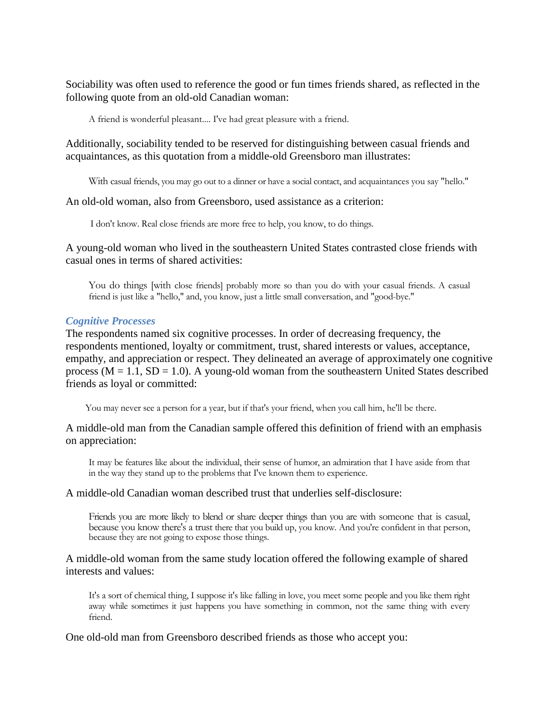Sociability was often used to reference the good or fun times friends shared, as reflected in the following quote from an old-old Canadian woman:

A friend is wonderful pleasant.... I've had great pleasure with a friend.

Additionally, sociability tended to be reserved for distinguishing between casual friends and acquaintances, as this quotation from a middle-old Greensboro man illustrates:

With casual friends, you may go out to a dinner or have a social contact, and acquaintances you say "hello."

#### An old-old woman, also from Greensboro, used assistance as a criterion:

I don't know. Real close friends are more free to help, you know, to do things.

A young-old woman who lived in the southeastern United States contrasted close friends with casual ones in terms of shared activities:

You do things [with close friends] probably more so than you do with your casual friends. A casual friend is just like a "hello," and, you know, just a little small conversation, and "good-bye."

### *Cognitive Processes*

The respondents named six cognitive processes. In order of decreasing frequency, the respondents mentioned, loyalty or commitment, trust, shared interests or values, acceptance, empathy, and appreciation or respect. They delineated an average of approximately one cognitive process ( $M = 1.1$ ,  $SD = 1.0$ ). A young-old woman from the southeastern United States described friends as loyal or committed:

You may never see a person for a year, but if that's your friend, when you call him, he'll be there.

## A middle-old man from the Canadian sample offered this definition of friend with an emphasis on appreciation:

It may be features like about the individual, their sense of humor, an admiration that I have aside from that in the way they stand up to the problems that I've known them to experience.

#### A middle-old Canadian woman described trust that underlies self-disclosure:

Friends you are more likely to blend or share deeper things than you are with someone that is casual, because you know there's a trust there that you build up, you know. And you're confident in that person, because they are not going to expose those things.

#### A middle-old woman from the same study location offered the following example of shared interests and values:

It's a sort of chemical thing, I suppose it's like falling in love, you meet some people and you like them right away while sometimes it just happens you have something in common, not the same thing with every friend.

#### One old-old man from Greensboro described friends as those who accept you: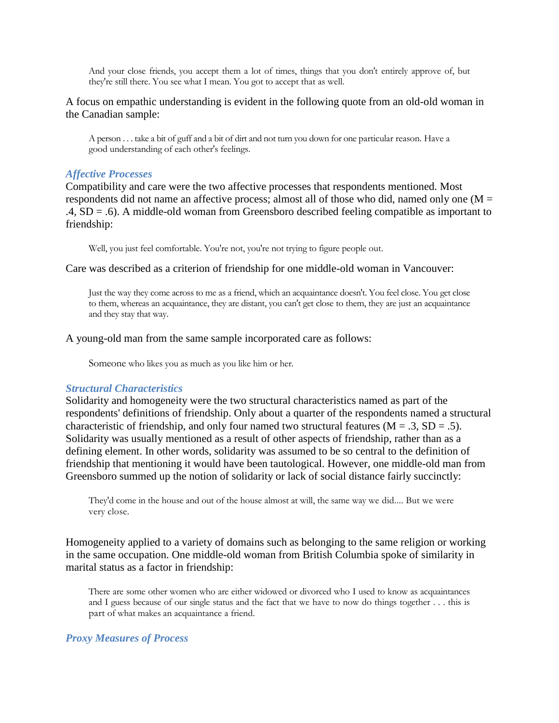And your close friends, you accept them a lot of times, things that you don't entirely approve of, but they're still there. You see what I mean. You got to accept that as well.

### A focus on empathic understanding is evident in the following quote from an old-old woman in the Canadian sample:

A person . . . take a bit of guff and a bit of dirt and not turn you down for one particular reason. Have a good understanding of each other's feelings.

#### *Affective Processes*

Compatibility and care were the two affective processes that respondents mentioned. Most respondents did not name an affective process; almost all of those who did, named only one  $(M =$ .4, SD = .6). A middle-old woman from Greensboro described feeling compatible as important to friendship:

Well, you just feel comfortable. You're not, you're not trying to figure people out.

Care was described as a criterion of friendship for one middle-old woman in Vancouver:

Just the way they come across to me as a friend, which an acquaintance doesn't. You feel close. You get close to them, whereas an acquaintance, they are distant, you can't get close to them, they are just an acquaintance and they stay that way.

A young-old man from the same sample incorporated care as follows:

Someone who likes you as much as you like him or her.

#### *Structural Characteristics*

Solidarity and homogeneity were the two structural characteristics named as part of the respondents' definitions of friendship. Only about a quarter of the respondents named a structural characteristic of friendship, and only four named two structural features ( $M = .3$ ,  $SD = .5$ ). Solidarity was usually mentioned as a result of other aspects of friendship, rather than as a defining element. In other words, solidarity was assumed to be so central to the definition of friendship that mentioning it would have been tautological. However, one middle-old man from Greensboro summed up the notion of solidarity or lack of social distance fairly succinctly:

They'd come in the house and out of the house almost at will, the same way we did.... But we were very close.

Homogeneity applied to a variety of domains such as belonging to the same religion or working in the same occupation. One middle-old woman from British Columbia spoke of similarity in marital status as a factor in friendship:

There are some other women who are either widowed or divorced who I used to know as acquaintances and I guess because of our single status and the fact that we have to now do things together . . . this is part of what makes an acquaintance a friend.

#### *Proxy Measures of Process*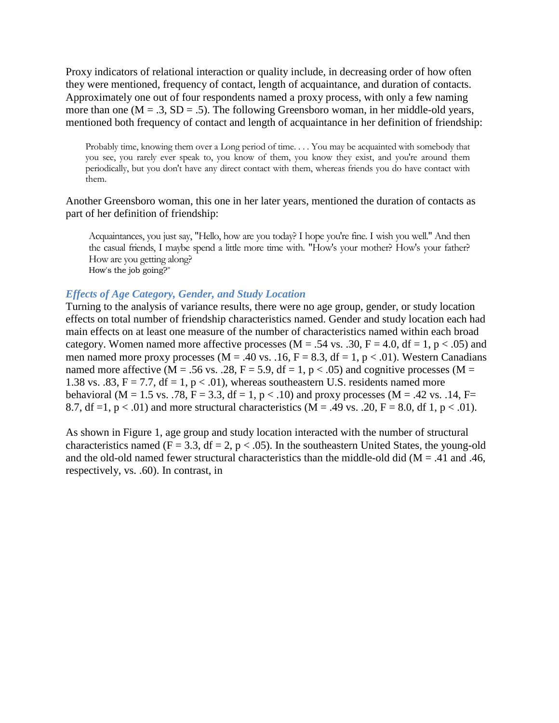Proxy indicators of relational interaction or quality include, in decreasing order of how often they were mentioned, frequency of contact, length of acquaintance, and duration of contacts. Approximately one out of four respondents named a proxy process, with only a few naming more than one  $(M = .3, SD = .5)$ . The following Greensboro woman, in her middle-old years, mentioned both frequency of contact and length of acquaintance in her definition of friendship:

Probably time, knowing them over a Long period of time. . . . You may be acquainted with somebody that you see, you rarely ever speak to, you know of them, you know they exist, and you're around them periodically, but you don't have any direct contact with them, whereas friends you do have contact with them.

Another Greensboro woman, this one in her later years, mentioned the duration of contacts as part of her definition of friendship:

Acquaintances, you just say, "Hello, how are you today? I hope you're fine. I wish you well." And then the casual friends, I maybe spend a little more time with. "How's your mother? How's your father? How are you getting along? How's the job going?"

#### *Effects of Age Category, Gender, and Study Location*

Turning to the analysis of variance results, there were no age group, gender, or study location effects on total number of friendship characteristics named. Gender and study location each had main effects on at least one measure of the number of characteristics named within each broad category. Women named more affective processes ( $M = .54$  vs. .30,  $F = 4.0$ ,  $df = 1$ ,  $p < .05$ ) and men named more proxy processes ( $M = .40$  vs.  $.16$ ,  $F = 8.3$ ,  $df = 1$ ,  $p < .01$ ). Western Canadians named more affective ( $M = .56$  vs. .28,  $F = 5.9$ ,  $df = 1$ ,  $p < .05$ ) and cognitive processes ( $M =$ 1.38 vs. .83,  $F = 7.7$ ,  $df = 1$ ,  $p < .01$ ), whereas southeastern U.S. residents named more behavioral (M = 1.5 vs. .78, F = 3.3, df = 1, p < .10) and proxy processes (M = .42 vs. .14, F= 8.7, df =1,  $p < .01$ ) and more structural characteristics (M = .49 vs. .20, F = 8.0, df 1,  $p < .01$ ).

As shown in Figure 1, age group and study location interacted with the number of structural characteristics named ( $F = 3.3$ , df = 2, p < .05). In the southeastern United States, the young-old and the old-old named fewer structural characteristics than the middle-old did ( $M = .41$  and .46, respectively, vs. .60). In contrast, in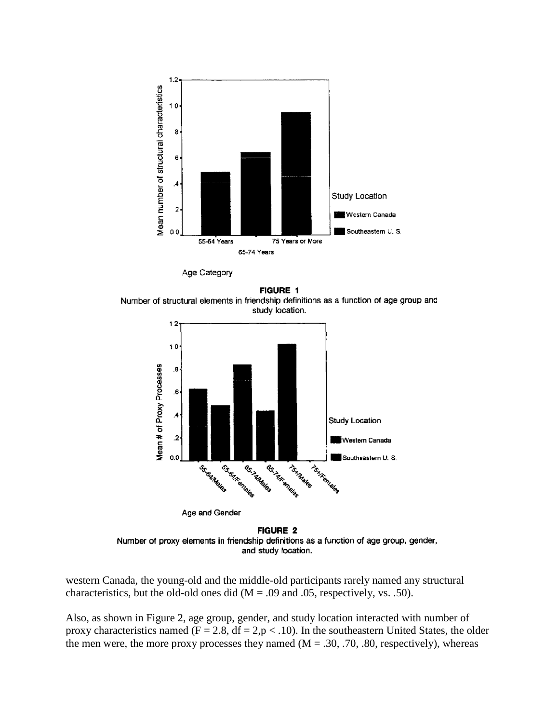

Age Category

**FIGURE 1** Number of structural elements in friendship definitions as a function of age group and study location.



**FIGURE 2** Number of proxy elements in friendship definitions as a function of age group, gender, and study location.

western Canada, the young-old and the middle-old participants rarely named any structural characteristics, but the old-old ones did  $(M = .09$  and  $.05$ , respectively, vs. .50).

Also, as shown in Figure 2, age group, gender, and study location interacted with number of proxy characteristics named ( $F = 2.8$ ,  $df = 2$ ,  $p < .10$ ). In the southeastern United States, the older the men were, the more proxy processes they named  $(M = .30, .70, .80,$  respectively), whereas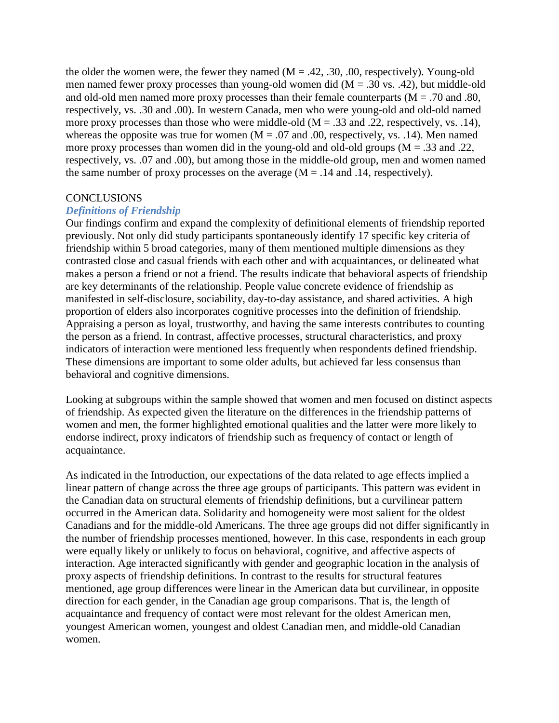the older the women were, the fewer they named  $(M = .42, .30, .00,$  respectively). Young-old men named fewer proxy processes than young-old women did  $(M = .30 \text{ vs. } .42)$ , but middle-old and old-old men named more proxy processes than their female counterparts ( $M = .70$  and  $.80$ , respectively, vs. .30 and .00). In western Canada, men who were young-old and old-old named more proxy processes than those who were middle-old  $(M = .33$  and .22, respectively, vs. .14), whereas the opposite was true for women  $(M = .07$  and  $.00$ , respectively, vs. .14). Men named more proxy processes than women did in the young-old and old-old groups ( $M = .33$  and .22, respectively, vs. .07 and .00), but among those in the middle-old group, men and women named the same number of proxy processes on the average  $(M = .14$  and  $.14$ , respectively).

## **CONCLUSIONS**

# *Definitions of Friendship*

Our findings confirm and expand the complexity of definitional elements of friendship reported previously. Not only did study participants spontaneously identify 17 specific key criteria of friendship within 5 broad categories, many of them mentioned multiple dimensions as they contrasted close and casual friends with each other and with acquaintances, or delineated what makes a person a friend or not a friend. The results indicate that behavioral aspects of friendship are key determinants of the relationship. People value concrete evidence of friendship as manifested in self-disclosure, sociability, day-to-day assistance, and shared activities. A high proportion of elders also incorporates cognitive processes into the definition of friendship. Appraising a person as loyal, trustworthy, and having the same interests contributes to counting the person as a friend. In contrast, affective processes, structural characteristics, and proxy indicators of interaction were mentioned less frequently when respondents defined friendship. These dimensions are important to some older adults, but achieved far less consensus than behavioral and cognitive dimensions.

Looking at subgroups within the sample showed that women and men focused on distinct aspects of friendship. As expected given the literature on the differences in the friendship patterns of women and men, the former highlighted emotional qualities and the latter were more likely to endorse indirect, proxy indicators of friendship such as frequency of contact or length of acquaintance.

As indicated in the Introduction, our expectations of the data related to age effects implied a linear pattern of change across the three age groups of participants. This pattern was evident in the Canadian data on structural elements of friendship definitions, but a curvilinear pattern occurred in the American data. Solidarity and homogeneity were most salient for the oldest Canadians and for the middle-old Americans. The three age groups did not differ significantly in the number of friendship processes mentioned, however. In this case, respondents in each group were equally likely or unlikely to focus on behavioral, cognitive, and affective aspects of interaction. Age interacted significantly with gender and geographic location in the analysis of proxy aspects of friendship definitions. In contrast to the results for structural features mentioned, age group differences were linear in the American data but curvilinear, in opposite direction for each gender, in the Canadian age group comparisons. That is, the length of acquaintance and frequency of contact were most relevant for the oldest American men, youngest American women, youngest and oldest Canadian men, and middle-old Canadian women.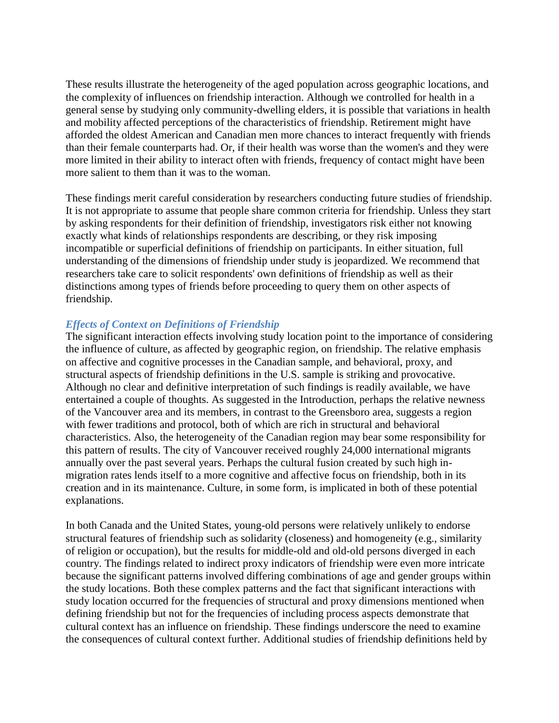These results illustrate the heterogeneity of the aged population across geographic locations, and the complexity of influences on friendship interaction. Although we controlled for health in a general sense by studying only community-dwelling elders, it is possible that variations in health and mobility affected perceptions of the characteristics of friendship. Retirement might have afforded the oldest American and Canadian men more chances to interact frequently with friends than their female counterparts had. Or, if their health was worse than the women's and they were more limited in their ability to interact often with friends, frequency of contact might have been more salient to them than it was to the woman.

These findings merit careful consideration by researchers conducting future studies of friendship. It is not appropriate to assume that people share common criteria for friendship. Unless they start by asking respondents for their definition of friendship, investigators risk either not knowing exactly what kinds of relationships respondents are describing, or they risk imposing incompatible or superficial definitions of friendship on participants. In either situation, full understanding of the dimensions of friendship under study is jeopardized. We recommend that researchers take care to solicit respondents' own definitions of friendship as well as their distinctions among types of friends before proceeding to query them on other aspects of friendship.

# *Effects of Context on Definitions of Friendship*

The significant interaction effects involving study location point to the importance of considering the influence of culture, as affected by geographic region, on friendship. The relative emphasis on affective and cognitive processes in the Canadian sample, and behavioral, proxy, and structural aspects of friendship definitions in the U.S. sample is striking and provocative. Although no clear and definitive interpretation of such findings is readily available, we have entertained a couple of thoughts. As suggested in the Introduction, perhaps the relative newness of the Vancouver area and its members, in contrast to the Greensboro area, suggests a region with fewer traditions and protocol, both of which are rich in structural and behavioral characteristics. Also, the heterogeneity of the Canadian region may bear some responsibility for this pattern of results. The city of Vancouver received roughly 24,000 international migrants annually over the past several years. Perhaps the cultural fusion created by such high inmigration rates lends itself to a more cognitive and affective focus on friendship, both in its creation and in its maintenance. Culture, in some form, is implicated in both of these potential explanations.

In both Canada and the United States, young-old persons were relatively unlikely to endorse structural features of friendship such as solidarity (closeness) and homogeneity (e.g., similarity of religion or occupation), but the results for middle-old and old-old persons diverged in each country. The findings related to indirect proxy indicators of friendship were even more intricate because the significant patterns involved differing combinations of age and gender groups within the study locations. Both these complex patterns and the fact that significant interactions with study location occurred for the frequencies of structural and proxy dimensions mentioned when defining friendship but not for the frequencies of including process aspects demonstrate that cultural context has an influence on friendship. These findings underscore the need to examine the consequences of cultural context further. Additional studies of friendship definitions held by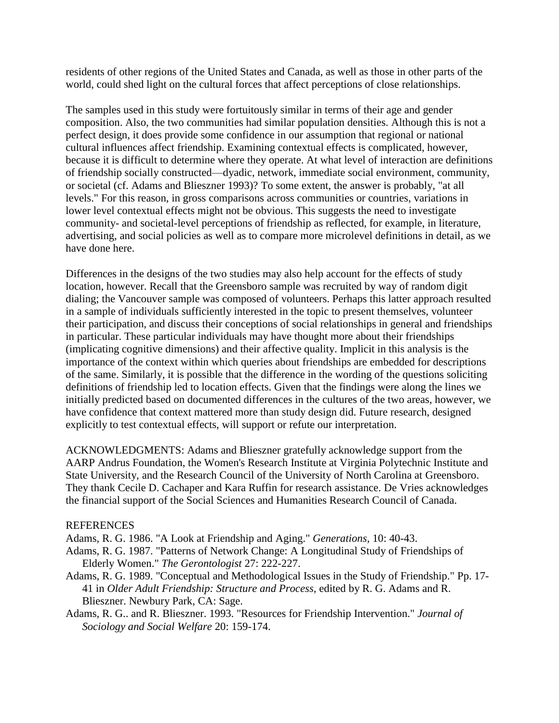residents of other regions of the United States and Canada, as well as those in other parts of the world, could shed light on the cultural forces that affect perceptions of close relationships.

The samples used in this study were fortuitously similar in terms of their age and gender composition. Also, the two communities had similar population densities. Although this is not a perfect design, it does provide some confidence in our assumption that regional or national cultural influences affect friendship. Examining contextual effects is complicated, however, because it is difficult to determine where they operate. At what level of interaction are definitions of friendship socially constructed—dyadic, network, immediate social environment, community, or societal (cf. Adams and Blieszner 1993)? To some extent, the answer is probably, "at all levels." For this reason, in gross comparisons across communities or countries, variations in lower level contextual effects might not be obvious. This suggests the need to investigate community- and societal-level perceptions of friendship as reflected, for example, in literature, advertising, and social policies as well as to compare more microlevel definitions in detail, as we have done here.

Differences in the designs of the two studies may also help account for the effects of study location, however. Recall that the Greensboro sample was recruited by way of random digit dialing; the Vancouver sample was composed of volunteers. Perhaps this latter approach resulted in a sample of individuals sufficiently interested in the topic to present themselves, volunteer their participation, and discuss their conceptions of social relationships in general and friendships in particular. These particular individuals may have thought more about their friendships (implicating cognitive dimensions) and their affective quality. Implicit in this analysis is the importance of the context within which queries about friendships are embedded for descriptions of the same. Similarly, it is possible that the difference in the wording of the questions soliciting definitions of friendship led to location effects. Given that the findings were along the lines we initially predicted based on documented differences in the cultures of the two areas, however, we have confidence that context mattered more than study design did. Future research, designed explicitly to test contextual effects, will support or refute our interpretation.

ACKNOWLEDGMENTS: Adams and Blieszner gratefully acknowledge support from the AARP Andrus Foundation, the Women's Research Institute at Virginia Polytechnic Institute and State University, and the Research Council of the University of North Carolina at Greensboro. They thank Cecile D. Cachaper and Kara Ruffin for research assistance. De Vries acknowledges the financial support of the Social Sciences and Humanities Research Council of Canada.

### REFERENCES

Adams, R. G. 1986. "A Look at Friendship and Aging." *Generations,* 10: 40-43.

- Adams, R. G. 1987. "Patterns of Network Change: A Longitudinal Study of Friendships of Elderly Women." *The Gerontologist* 27: 222-227.
- Adams, R. G. 1989. "Conceptual and Methodological Issues in the Study of Friendship." Pp. 17- 41 in *Older Adult Friendship: Structure and Process,* edited by R. G. Adams and R. Blieszner. Newbury Park, CA: Sage.
- Adams, R. G.. and R. Blieszner. 1993. "Resources for Friendship Intervention." *Journal of Sociology and Social Welfare* 20: 159-174.